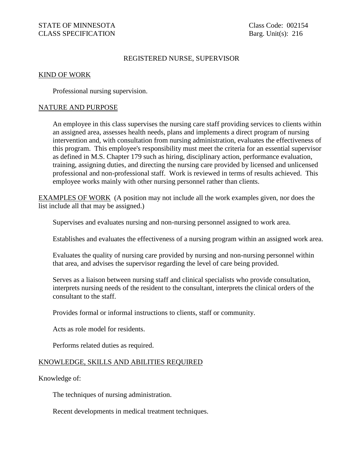## REGISTERED NURSE, SUPERVISOR

## KIND OF WORK

Professional nursing supervision.

## NATURE AND PURPOSE

An employee in this class supervises the nursing care staff providing services to clients within an assigned area, assesses health needs, plans and implements a direct program of nursing intervention and, with consultation from nursing administration, evaluates the effectiveness of this program. This employee's responsibility must meet the criteria for an essential supervisor as defined in M.S. Chapter 179 such as hiring, disciplinary action, performance evaluation, training, assigning duties, and directing the nursing care provided by licensed and unlicensed professional and non-professional staff. Work is reviewed in terms of results achieved. This employee works mainly with other nursing personnel rather than clients.

EXAMPLES OF WORK (A position may not include all the work examples given, nor does the list include all that may be assigned.)

Supervises and evaluates nursing and non-nursing personnel assigned to work area.

Establishes and evaluates the effectiveness of a nursing program within an assigned work area.

Evaluates the quality of nursing care provided by nursing and non-nursing personnel within that area, and advises the supervisor regarding the level of care being provided.

Serves as a liaison between nursing staff and clinical specialists who provide consultation, interprets nursing needs of the resident to the consultant, interprets the clinical orders of the consultant to the staff.

Provides formal or informal instructions to clients, staff or community.

Acts as role model for residents.

Performs related duties as required.

## KNOWLEDGE, SKILLS AND ABILITIES REQUIRED

Knowledge of:

The techniques of nursing administration.

Recent developments in medical treatment techniques.